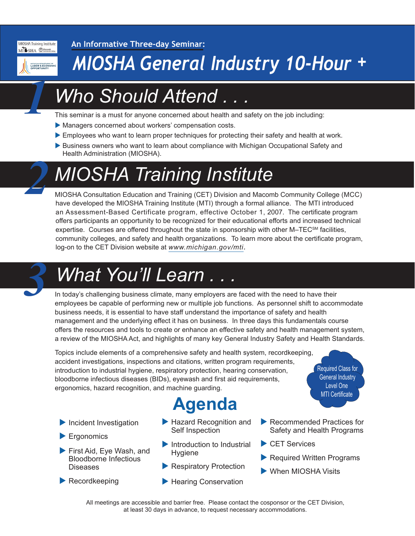

*1*

*2*

**An Informative Three-day Seminar:**

## *MIOSHA General Industry 10-Hour +*

## *Who Should Attend . . .*

This seminar is a must for anyone concerned about health and safety on the job including:

- Managers concerned about workers' compensation costs.
- **Employees who want to learn proper techniques for protecting their safety and health at work.**
- Business owners who want to learn about compliance with Michigan Occupational Safety and Health Administration (MIOSHA).

## *MIOSHA Training Institute*

MIOSHA Consultation Education and Training (CET) Division and Macomb Community College (MCC) have developed the MIOSHA Training Institute (MTI) through a formal alliance. The MTI introduced an Assessment-Based Certificate program, effective October 1, 2007. The certificate program offers participants an opportunity to be recognized for their educational efforts and increased technical expertise. Courses are offered throughout the state in sponsorship with other M–TEC<sup>SM</sup> facilities, community colleges, and safety and health organizations. To learn more about the certificate program, log-on to the CET Division website at *[www.michigan.gov/mti.](http://www.michigan.gov/mti)*

# *What You'll Learn . . . 3*

In today's challenging business climate, many employers are faced with the need to have their employees be capable of performing new or multiple job functions. As personnel shift to accommodate business needs, it is essential to have staff understand the importance of safety and health management and the underlying effect it has on business. In three days this fundamentals course offers the resources and tools to create or enhance an effective safety and health management system, a review of the MIOSHA Act, and highlights of many key General Industry Safety and Health Standards.

Topics include elements of a comprehensive safety and health system, recordkeeping, accident investigations, inspections and citations, written program requirements, introduction to industrial hygiene, respiratory protection, hearing conservation, bloodborne infectious diseases (BIDs), eyewash and first aid requirements, ergonomics, hazard recognition, and machine guarding.

### **Agenda**

- $\blacktriangleright$  Incident Investigation
- $\blacktriangleright$  Ergonomics
- ▶ First Aid, Eye Wash, and Bloodborne Infectious **Diseases**
- $\blacktriangleright$  Recordkeeping
- $\blacktriangleright$  Hazard Recognition and Self Inspection
- $\blacktriangleright$  Introduction to Industrial Hygiene
- $\blacktriangleright$  Respiratory Protection
- $\blacktriangleright$  Hearing Conservation
- $\blacktriangleright$  Recommended Practices for Safety and Health Programs

Required Class for General Industry Level One MTI Certificate

- $\blacktriangleright$  CET Services
- $\blacktriangleright$  Required Written Programs
- $\blacktriangleright$  When MIOSHA Visits

All meetings are accessible and barrier free. Please contact the cosponsor or the CET Division, at least 30 days in advance, to request necessary accommodations.